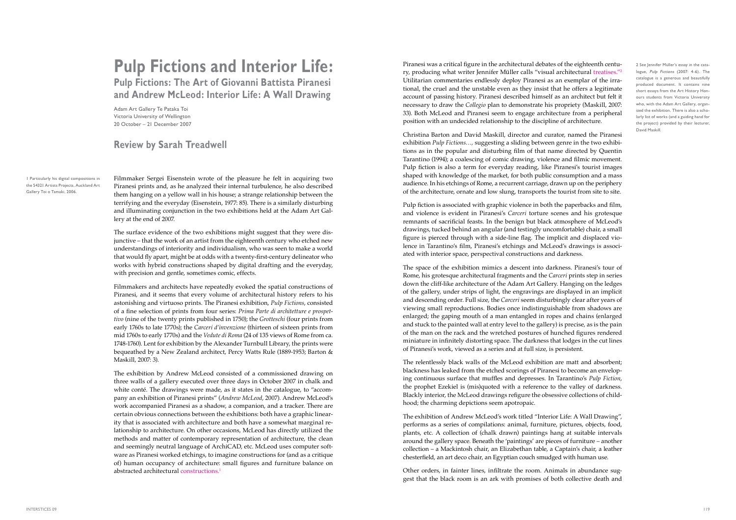## **Pulp Fictions and Interior Life: Pulp Fictions: The Art of Giovanni Battista Piranesi and Andrew McLeod: Interior Life: A Wall Drawing**

Adam Art Gallery Te Pataka Toi Victoria University of Wellington 20 October – 21 December 2007

## **Review by Sarah Treadwell**

Filmmaker Sergei Eisenstein wrote of the pleasure he felt in acquiring two Piranesi prints and, as he analyzed their internal turbulence, he also described them hanging on a yellow wall in his house; a strange relationship between the terrifying and the everyday (Eisenstein, 1977: 85). There is a similarly disturbing and illuminating conjunction in the two exhibitions held at the Adam Art Gallery at the end of 2007.

The surface evidence of the two exhibitions might suggest that they were disjunctive – that the work of an artist from the eighteenth century who etched new understandings of interiority and individualism, who was seen to make a world that would fly apart, might be at odds with a twenty-first-century delineator who works with hybrid constructions shaped by digital drafting and the everyday, with precision and gentle, sometimes comic, effects.

Filmmakers and architects have repeatedly evoked the spatial constructions of Piranesi, and it seems that every volume of architectural history refers to his astonishing and virtuoso prints. The Piranesi exhibition, *Pulp Fictions*, consisted of a fine selection of prints from four series: *Prima Parte di architetture e prospettivo* (nine of the twenty prints published in 1750); the *Grotteschi* (four prints from early 1760s to late 1770s); the *Carceri d'invenzione* (thirteen of sixteen prints from mid 1760s to early 1770s) and the *Vedute di Roma* (24 of 135 views of Rome from ca. 1748-1760). Lent for exhibition by the Alexander Turnbull Library, the prints were bequeathed by a New Zealand architect, Percy Watts Rule (1889-1953; Barton & Maskill, 2007: 3).

The exhibition by Andrew McLeod consisted of a commissioned drawing on three walls of a gallery executed over three days in October 2007 in chalk and white conté. The drawings were made, as it states in the catalogue, to "accompany an exhibition of Piranesi prints" (*Andrew McLeod*, 2007). Andrew McLeod's work accompanied Piranesi as a shadow, a companion, and a tracker. There are certain obvious connections between the exhibitions: both have a graphic linearity that is associated with architecture and both have a somewhat marginal relationship to architecture. On other occasions, McLeod has directly utilized the methods and matter of contemporary representation of architecture, the clean and seemingly neutral language of ArchiCAD, etc. McLeod uses computer software as Piranesi worked etchings, to imagine constructions for (and as a critique of) human occupancy of architecture: small figures and furniture balance on abstracted architectural constructions.1

Piranesi was a critical figure in the architectural debates of the eighteenth century, producing what writer Jennifer Müller calls "visual architectural treatises."2 Utilitarian commentaries endlessly deploy Piranesi as an exemplar of the irrational, the cruel and the unstable even as they insist that he offers a legitimate account of passing history. Piranesi described himself as an architect but felt it necessary to draw the *Collegio* plan to demonstrate his propriety (Maskill, 2007: 33). Both McLeod and Piranesi seem to engage architecture from a peripheral position with an undecided relationship to the discipline of architecture.

Christina Barton and David Maskill, director and curator, named the Piranesi exhibition *Pulp Fictions…,* suggesting a sliding between genre in the two exhibitions as in the popular and disturbing film of that name directed by Quentin Tarantino (1994); a coalescing of comic drawing, violence and filmic movement. Pulp fiction is also a term for everyday reading, like Piranesi's tourist images shaped with knowledge of the market, for both public consumption and a mass audience. In his etchings of Rome, a recurrent carriage, drawn up on the periphery of the architecture, ornate and low slung, transports the tourist from site to site.

Pulp fiction is associated with graphic violence in both the paperbacks and film, and violence is evident in Piranesi's *Carceri* torture scenes and his grotesque remnants of sacrificial feasts. In the benign but black atmosphere of McLeod's drawings, tucked behind an angular (and testingly uncomfortable) chair, a small figure is pierced through with a side-line flag. The implicit and displaced violence in Tarantino's film, Piranesi's etchings and McLeod's drawings is associated with interior space, perspectival constructions and darkness.

The space of the exhibition mimics a descent into darkness. Piranesi's tour of Rome, his grotesque architectural fragments and the *Carceri* prints step in series down the cliff-like architecture of the Adam Art Gallery. Hanging on the ledges of the gallery, under strips of light, the engravings are displayed in an implicit and descending order. Full size, the *Carceri* seem disturbingly clear after years of viewing small reproductions. Bodies once indistinguishable from shadows are enlarged; the gaping mouth of a man entangled in ropes and chains (enlarged and stuck to the painted wall at entry level to the gallery) is precise, as is the pain of the man on the rack and the wretched postures of hunched figures rendered miniature in infinitely distorting space. The darkness that lodges in the cut lines of Piranesi's work, viewed as a series and at full size, is persistent.

The relentlessly black walls of the McLeod exhibition are matt and absorbent; blackness has leaked from the etched scorings of Piranesi to become an enveloping continuous surface that muffles and depresses. In Tarantino's *Pulp Fiction*, the prophet Ezekiel is (mis)quoted with a reference to the valley of darkness. Blackly interior, the McLeod drawings refigure the obsessive collections of childhood; the charming depictions seem apotropaic.

The exhibition of Andrew McLeod's work titled "Interior Life: A Wall Drawing", performs as a series of compilations: animal, furniture, pictures, objects, food, plants, etc. A collection of (chalk drawn) paintings hang at suitable intervals around the gallery space. Beneath the 'paintings' are pieces of furniture – another collection – a Mackintosh chair, an Elizabethan table, a Captain's chair, a leather chesterfield, an art deco chair, an Egyptian couch smudged with human use.

Other orders, in fainter lines, infiltrate the room. Animals in abundance suggest that the black room is an ark with promises of both collective death and 2 See Jennifer Müller's essay in the catalogue, Pulp Fictions (2007: 4-6). The catalogue is a generous and beautifully produced document. It contains nine short essays from the Art History Honours students from Victoria University who, with the Adam Art Gallery, organized the exhibition. There is also a scholarly list of works (and a guiding hand for the project) provided by their lecturer, David Maskill.

1 Particularly his digital compositions in the 54321 Artists Projects, Auckland Art Gallery Toi o Tamaki, 2006.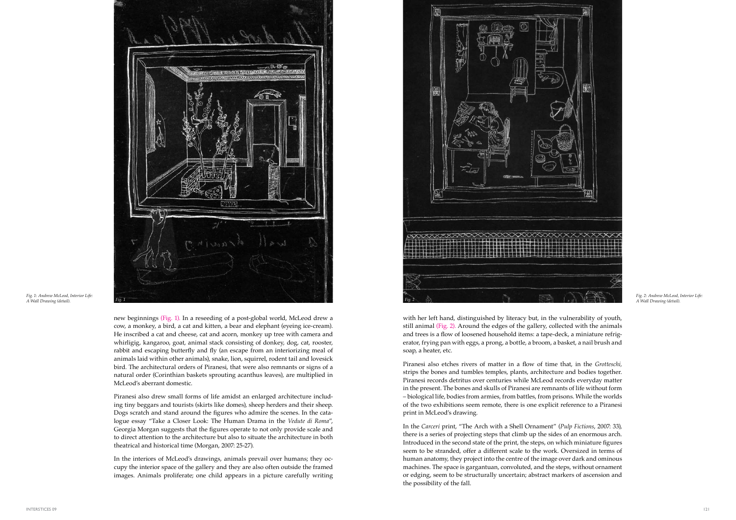new beginnings (Fig. 1). In a reseeding of a post-global world, McLeod drew a cow, a monkey, a bird, a cat and kitten, a bear and elephant (eyeing ice-cream). He inscribed a cat and cheese, cat and acorn, monkey up tree with camera and whirligig, kangaroo, goat, animal stack consisting of donkey, dog, cat, rooster, rabbit and escaping butterfly and fly (an escape from an interiorizing meal of animals laid within other animals), snake, lion, squirrel, rodent tail and lovesick bird. The architectural orders of Piranesi, that were also remnants or signs of a natural order (Corinthian baskets sprouting acanthus leaves), are multiplied in McLeod's aberrant domestic.

Piranesi also drew small forms of life amidst an enlarged architecture including tiny beggars and tourists (skirts like domes), sheep herders and their sheep. Dogs scratch and stand around the figures who admire the scenes. In the catalogue essay "Take a Closer Look: The Human Drama in the *Vedute di Roma*", Georgia Morgan suggests that the figures operate to not only provide scale and to direct attention to the architecture but also to situate the architecture in both theatrical and historical time (Morgan, 2007: 25-27).

In the interiors of McLeod's drawings, animals prevail over humans; they occupy the interior space of the gallery and they are also often outside the framed images. Animals proliferate; one child appears in a picture carefully writing with her left hand, distinguished by literacy but, in the vulnerability of youth, still animal (Fig. 2). Around the edges of the gallery, collected with the animals and trees is a flow of loosened household items: a tape-deck, a miniature refrigerator, frying pan with eggs, a prong, a bottle, a broom, a basket, a nail brush and soap, a heater, etc.

Piranesi also etches rivers of matter in a flow of time that, in the *Grotteschi,* strips the bones and tumbles temples, plants, architecture and bodies together. Piranesi records detritus over centuries while McLeod records everyday matter in the present. The bones and skulls of Piranesi are remnants of life without form – biological life, bodies from armies, from battles, from prisons. While the worlds of the two exhibitions seem remote, there is one explicit reference to a Piranesi print in McLeod's drawing.

In the *Carceri* print, "The Arch with a Shell Ornament" (*Pulp Fictions*, 2007: 33), there is a series of projecting steps that climb up the sides of an enormous arch. Introduced in the second state of the print, the steps, on which miniature figures seem to be stranded, offer a different scale to the work. Oversized in terms of human anatomy, they project into the centre of the image over dark and ominous machines. The space is gargantuan, convoluted, and the steps, without ornament or edging, seem to be structurally uncertain; abstract markers of ascension and the possibility of the fall.



*Fig. 1: Andrew McLeod, Interior Life: A Wall Drawing (detail).*

*Fig. 2: Andrew McLeod, Interior Life:*